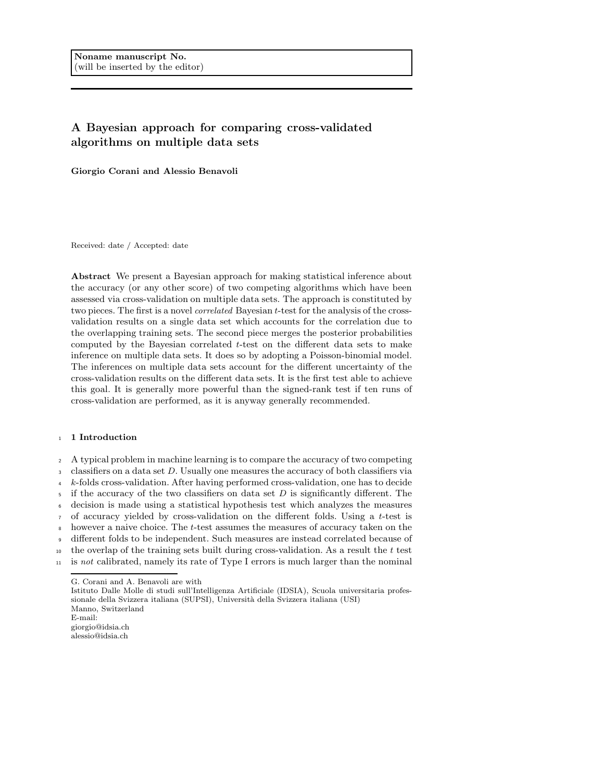# A Bayesian approach for comparing cross-validated algorithms on multiple data sets

Giorgio Corani and Alessio Benavoli

Received: date / Accepted: date

Abstract We present a Bayesian approach for making statistical inference about the accuracy (or any other score) of two competing algorithms which have been assessed via cross-validation on multiple data sets. The approach is constituted by two pieces. The first is a novel correlated Bayesian t-test for the analysis of the crossvalidation results on a single data set which accounts for the correlation due to the overlapping training sets. The second piece merges the posterior probabilities computed by the Bayesian correlated t-test on the different data sets to make inference on multiple data sets. It does so by adopting a Poisson-binomial model. The inferences on multiple data sets account for the different uncertainty of the cross-validation results on the different data sets. It is the first test able to achieve this goal. It is generally more powerful than the signed-rank test if ten runs of cross-validation are performed, as it is anyway generally recommended.

#### <sup>1</sup> 1 Introduction

<sup>2</sup> A typical problem in machine learning is to compare the accuracy of two competing

<sup>3</sup> classifiers on a data set D. Usually one measures the accuracy of both classifiers via

<sup>4</sup> k-folds cross-validation. After having performed cross-validation, one has to decide

 $\frac{1}{5}$  if the accuracy of the two classifiers on data set D is significantly different. The

<sup>6</sup> decision is made using a statistical hypothesis test which analyzes the measures

 $7 \text{ of accuracy yielded by cross-validation on the different folds. Using a } t\text{-test is}$ 

<sup>8</sup> however a naive choice. The t-test assumes the measures of accuracy taken on the

<sup>9</sup> different folds to be independent. Such measures are instead correlated because of

 $10$  the overlap of the training sets built during cross-validation. As a result the t test

 $11$  is not calibrated, namely its rate of Type I errors is much larger than the nominal

E-mail: giorgio@idsia.ch alessio@idsia.ch

G. Corani and A. Benavoli are with

Istituto Dalle Molle di studi sull'Intelligenza Artificiale (IDSIA), Scuola universitaria professionale della Svizzera italiana (SUPSI), Universit`a della Svizzera italiana (USI)

Manno, Switzerland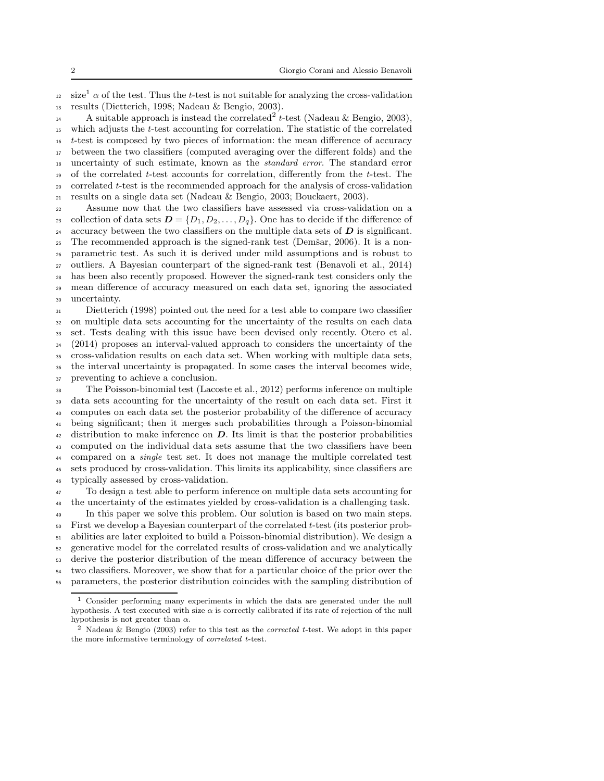size<sup>1</sup>  $\alpha$  of the test. Thus the t-test is not suitable for analyzing the cross-validation results (Dietterich, 1998; Nadeau & Bengio, 2003).

<sup>14</sup> A suitable approach is instead the correlated<sup>2</sup> t-test (Nadeau & Bengio, 2003), which adjusts the t-test accounting for correlation. The statistic of the correlated t-test is composed by two pieces of information: the mean difference of accuracy between the two classifiers (computed averaging over the different folds) and the <sup>18</sup> uncertainty of such estimate, known as the *standard error*. The standard error of the correlated t-test accounts for correlation, differently from the t-test. The correlated t-test is the recommended approach for the analysis of cross-validation results on a single data set (Nadeau & Bengio, 2003; Bouckaert, 2003).

 Assume now that the two classifiers have assessed via cross-validation on a 23 collection of data sets  $D = \{D_1, D_2, \ldots, D_q\}$ . One has to decide if the difference of 24 accuracy between the two classifiers on the multiple data sets of  $\bm{D}$  is significant. 25 The recommended approach is the signed-rank test (Demšar, 2006). It is a non- parametric test. As such it is derived under mild assumptions and is robust to outliers. A Bayesian counterpart of the signed-rank test (Benavoli et al., 2014) has been also recently proposed. However the signed-rank test considers only the mean difference of accuracy measured on each data set, ignoring the associated uncertainty.

 Dietterich (1998) pointed out the need for a test able to compare two classifier on multiple data sets accounting for the uncertainty of the results on each data set. Tests dealing with this issue have been devised only recently. Otero et al. (2014) proposes an interval-valued approach to considers the uncertainty of the cross-validation results on each data set. When working with multiple data sets, the interval uncertainty is propagated. In some cases the interval becomes wide, preventing to achieve a conclusion.

 The Poisson-binomial test (Lacoste et al., 2012) performs inference on multiple data sets accounting for the uncertainty of the result on each data set. First it computes on each data set the posterior probability of the difference of accuracy being significant; then it merges such probabilities through a Poisson-binomial  $\mu_2$  distribution to make inference on D. Its limit is that the posterior probabilities computed on the individual data sets assume that the two classifiers have been <sup>44</sup> compared on a *single* test set. It does not manage the multiple correlated test sets produced by cross-validation. This limits its applicability, since classifiers are typically assessed by cross-validation.

 To design a test able to perform inference on multiple data sets accounting for the uncertainty of the estimates yielded by cross-validation is a challenging task. In this paper we solve this problem. Our solution is based on two main steps. First we develop a Bayesian counterpart of the correlated t-test (its posterior prob- abilities are later exploited to build a Poisson-binomial distribution). We design a generative model for the correlated results of cross-validation and we analytically derive the posterior distribution of the mean difference of accuracy between the two classifiers. Moreover, we show that for a particular choice of the prior over the parameters, the posterior distribution coincides with the sampling distribution of

 Consider performing many experiments in which the data are generated under the null hypothesis. A test executed with size  $\alpha$  is correctly calibrated if its rate of rejection of the null hypothesis is not greater than  $\alpha$ .

<sup>&</sup>lt;sup>2</sup> Nadeau & Bengio (2003) refer to this test as the *corrected t*-test. We adopt in this paper the more informative terminology of correlated t-test.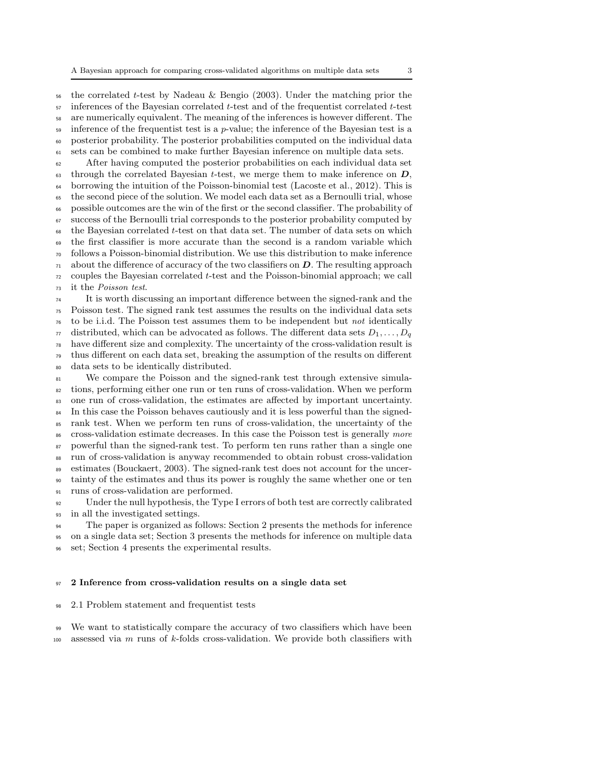the correlated t-test by Nadeau & Bengio (2003). Under the matching prior the

inferences of the Bayesian correlated t-test and of the frequentist correlated t-test

are numerically equivalent. The meaning of the inferences is however different. The

 $\frac{1}{59}$  inference of the frequentist test is a p-value; the inference of the Bayesian test is a

posterior probability. The posterior probabilities computed on the individual data

sets can be combined to make further Bayesian inference on multiple data sets.

 After having computed the posterior probabilities on each individual data set  $\epsilon_{\rm s}$  through the correlated Bayesian t-test, we merge them to make inference on  $D$ , borrowing the intuition of the Poisson-binomial test (Lacoste et al., 2012). This is the second piece of the solution. We model each data set as a Bernoulli trial, whose possible outcomes are the win of the first or the second classifier. The probability of success of the Bernoulli trial corresponds to the posterior probability computed by the Bayesian correlated t-test on that data set. The number of data sets on which the first classifier is more accurate than the second is a random variable which follows a Poisson-binomial distribution. We use this distribution to make inference about the difference of accuracy of the two classifiers on  $D$ . The resulting approach couples the Bayesian correlated  $t$ -test and the Poisson-binomial approach; we call it the Poisson test.

 It is worth discussing an important difference between the signed-rank and the Poisson test. The signed rank test assumes the results on the individual data sets to be i.i.d. The Poisson test assumes them to be independent but not identically  $\pi$  distributed, which can be advocated as follows. The different data sets  $D_1, \ldots, D_q$  have different size and complexity. The uncertainty of the cross-validation result is thus different on each data set, breaking the assumption of the results on different data sets to be identically distributed. We compare the Poisson and the signed-rank test through extensive simula-tions, performing either one run or ten runs of cross-validation. When we perform

 one run of cross-validation, the estimates are affected by important uncertainty. <sup>84</sup> In this case the Poisson behaves cautiously and it is less powerful than the signed- rank test. When we perform ten runs of cross-validation, the uncertainty of the <sup>86</sup> cross-validation estimate decreases. In this case the Poisson test is generally *more*  powerful than the signed-rank test. To perform ten runs rather than a single one run of cross-validation is anyway recommended to obtain robust cross-validation estimates (Bouckaert, 2003). The signed-rank test does not account for the uncer- tainty of the estimates and thus its power is roughly the same whether one or ten runs of cross-validation are performed.

 Under the null hypothesis, the Type I errors of both test are correctly calibrated in all the investigated settings.

 The paper is organized as follows: Section 2 presents the methods for inference on a single data set; Section 3 presents the methods for inference on multiple data set; Section 4 presents the experimental results.

#### 97 2 Inference from cross-validation results on a single data set

2.1 Problem statement and frequentist tests

 We want to statistically compare the accuracy of two classifiers which have been assessed via m runs of k-folds cross-validation. We provide both classifiers with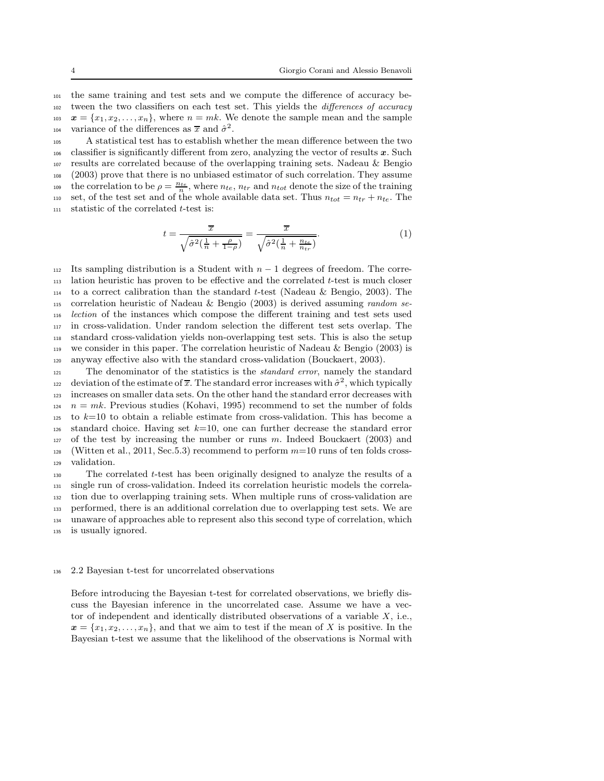<sup>101</sup> the same training and test sets and we compute the difference of accuracy be-<sup>102</sup> tween the two classifiers on each test set. This yields the differences of accuracy  $x = \{x_1, x_2, \ldots, x_n\}$ , where  $n = mk$ . We denote the sample mean and the sample variance of the differences as  $\bar{x}$  and  $\hat{\sigma}^2$ .

 A statistical test has to establish whether the mean difference between the two classifier is significantly different from zero, analyzing the vector of results  $x$ . Such results are correlated because of the overlapping training sets. Nadeau & Bengio (2003) prove that there is no unbiased estimator of such correlation. They assume the correlation to be  $\rho = \frac{n_{te}}{n}$ , where  $n_{te}$ ,  $n_{tr}$  and  $n_{tot}$  denote the size of the training 110 set, of the test set and of the whole available data set. Thus  $n_{tot} = n_{tr} + n_{te}$ . The statistic of the correlated t-test is:

$$
t = \frac{\overline{x}}{\sqrt{\hat{\sigma}^2(\frac{1}{n} + \frac{\rho}{1 - \rho})}} = \frac{\overline{x}}{\sqrt{\hat{\sigma}^2(\frac{1}{n} + \frac{n_{te}}{n_{tr})}}}.
$$
(1)

112 Its sampling distribution is a Student with  $n-1$  degrees of freedom. The corre- lation heuristic has proven to be effective and the correlated t-test is much closer to a correct calibration than the standard t-test (Nadeau & Bengio, 2003). The correlation heuristic of Nadeau & Bengio (2003) is derived assuming random se- lection of the instances which compose the different training and test sets used in cross-validation. Under random selection the different test sets overlap. The standard cross-validation yields non-overlapping test sets. This is also the setup 119 we consider in this paper. The correlation heuristic of Nadeau & Bengio (2003) is anyway effective also with the standard cross-validation (Bouckaert, 2003).

<sup>121</sup> The denominator of the statistics is the standard error, namely the standard 122 deviation of the estimate of  $\overline{x}$ . The standard error increases with  $\hat{\sigma}^2$ , which typically <sup>123</sup> increases on smaller data sets. On the other hand the standard error decreases with  $124$   $n = mk$ . Previous studies (Kohavi, 1995) recommend to set the number of folds 125 to  $k=10$  to obtain a reliable estimate from cross-validation. This has become a 126 standard choice. Having set  $k=10$ , one can further decrease the standard error  $127$  of the test by increasing the number or runs m. Indeed Bouckaert (2003) and 128 (Witten et al., 2011, Sec. 5.3) recommend to perform  $m=10$  runs of ten folds cross-<sup>129</sup> validation.

 The correlated t-test has been originally designed to analyze the results of a single run of cross-validation. Indeed its correlation heuristic models the correla- tion due to overlapping training sets. When multiple runs of cross-validation are performed, there is an additional correlation due to overlapping test sets. We are unaware of approaches able to represent also this second type of correlation, which is usually ignored.

### <sup>136</sup> 2.2 Bayesian t-test for uncorrelated observations

Before introducing the Bayesian t-test for correlated observations, we briefly discuss the Bayesian inference in the uncorrelated case. Assume we have a vector of independent and identically distributed observations of a variable  $X$ , i.e.,  $x = \{x_1, x_2, \ldots, x_n\}$ , and that we aim to test if the mean of X is positive. In the Bayesian t-test we assume that the likelihood of the observations is Normal with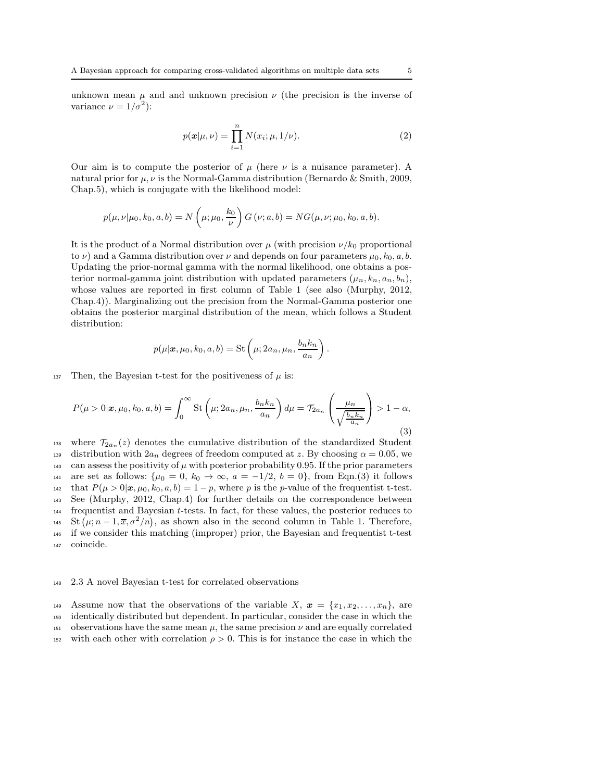$$
p(\mathbf{x}|\mu, \nu) = \prod_{i=1}^{n} N(x_i; \mu, 1/\nu).
$$
 (2)

Our aim is to compute the posterior of  $\mu$  (here  $\nu$  is a nuisance parameter). A natural prior for  $\mu$ ,  $\nu$  is the Normal-Gamma distribution (Bernardo & Smith, 2009, Chap.5), which is conjugate with the likelihood model:

$$
p(\mu, \nu | \mu_0, k_0, a, b) = N\left(\mu; \mu_0, \frac{k_0}{\nu}\right) G(\nu; a, b) = NG(\mu, \nu; \mu_0, k_0, a, b).
$$

It is the product of a Normal distribution over  $\mu$  (with precision  $\nu/k_0$  proportional to  $\nu$ ) and a Gamma distribution over  $\nu$  and depends on four parameters  $\mu_0, k_0, a, b$ . Updating the prior-normal gamma with the normal likelihood, one obtains a posterior normal-gamma joint distribution with updated parameters  $(\mu_n, k_n, a_n, b_n)$ , whose values are reported in first column of Table 1 (see also (Murphy, 2012, Chap.4)). Marginalizing out the precision from the Normal-Gamma posterior one obtains the posterior marginal distribution of the mean, which follows a Student distribution:

$$
p(\mu|\boldsymbol{x},\mu_0,k_0,a,b)=\mathrm{St}\left(\mu;2a_n,\mu_n,\frac{b_nk_n}{a_n}\right).
$$

137 Then, the Bayesian t-test for the positiveness of  $\mu$  is:

$$
P(\mu > 0 | \mathbf{x}, \mu_0, k_0, a, b) = \int_0^\infty \text{St}\left(\mu; 2a_n, \mu_n, \frac{b_n k_n}{a_n}\right) d\mu = \mathcal{T}_{2a_n}\left(\frac{\mu_n}{\sqrt{\frac{b_n k_n}{a_n}}}\right) > 1 - \alpha,
$$
\n(3)

138 where  $\mathcal{T}_{2a_n}(z)$  denotes the cumulative distribution of the standardized Student 139 distribution with  $2a_n$  degrees of freedom computed at z. By choosing  $\alpha = 0.05$ , we  $140$  can assess the positivity of  $\mu$  with posterior probability 0.95. If the prior parameters 141 are set as follows:  $\{\mu_0 = 0, k_0 \to \infty, a = -1/2, b = 0\}$ , from Eqn.(3) it follows 142 that  $P(\mu > 0 | \mathbf{x}, \mu_0, k_0, a, b) = 1 - p$ , where p is the p-value of the frequentist t-test. <sup>143</sup> See (Murphy, 2012, Chap.4) for further details on the correspondence between <sup>144</sup> frequentist and Bayesian t-tests. In fact, for these values, the posterior reduces to 145 St  $(\mu; n-1, \overline{x}, \sigma^2/n)$ , as shown also in the second column in Table 1. Therefore, <sup>146</sup> if we consider this matching (improper) prior, the Bayesian and frequentist t-test <sup>147</sup> coincide.

#### <sup>148</sup> 2.3 A novel Bayesian t-test for correlated observations

149 Assume now that the observations of the variable X,  $x = \{x_1, x_2, \ldots, x_n\}$ , are <sup>150</sup> identically distributed but dependent. In particular, consider the case in which the 151 observations have the same mean  $\mu$ , the same precision  $\nu$  and are equally correlated

152 with each other with correlation  $\rho > 0$ . This is for instance the case in which the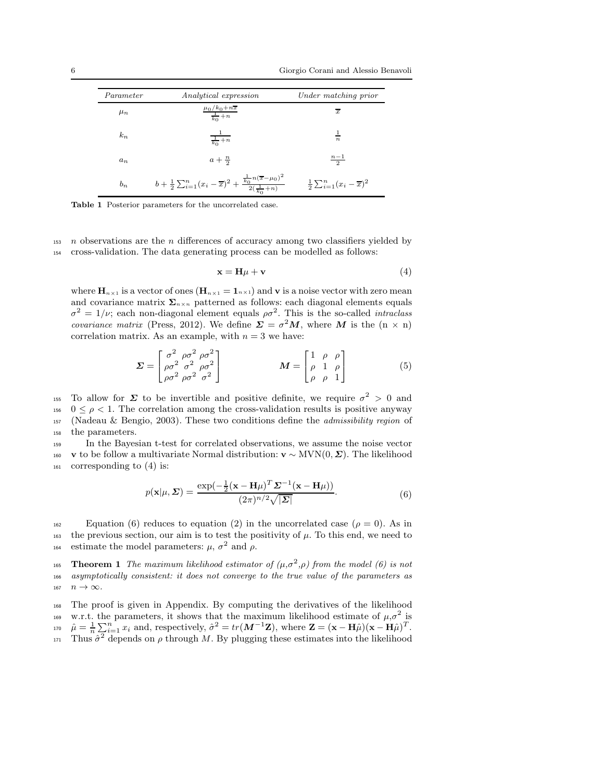| Parameter | Analytical expression                                                                                                           | Under matching prior                          |  |
|-----------|---------------------------------------------------------------------------------------------------------------------------------|-----------------------------------------------|--|
| $\mu_n$   | $\frac{\mu_0/k_0+n\overline{x}}{\frac{1}{k_0}+n}$                                                                               | $\overline{x}$                                |  |
| $k_n$     | $\frac{1}{k_0}+n$                                                                                                               | $\overline{n}$                                |  |
| $a_n$     | $a+\frac{n}{2}$                                                                                                                 | $rac{n-1}{2}$                                 |  |
| $b_n$     | $b + \frac{1}{2} \sum_{i=1}^{n} (x_i - \overline{x})^2 + \frac{\frac{1}{k_0} n (\overline{x} - \mu_0)^2}{2(\frac{1}{k_0} + n)}$ | $\frac{1}{2}\sum_{i=1}^n(x_i-\overline{x})^2$ |  |

Table 1 Posterior parameters for the uncorrelated case.

 $n \text{ observations are the } n \text{ differences of accuracy among two classifiers yielded by}$ <sup>154</sup> cross-validation. The data generating process can be modelled as follows:

$$
\mathbf{x} = \mathbf{H}\boldsymbol{\mu} + \mathbf{v} \tag{4}
$$

where  $\mathbf{H}_{n\times1}$  is a vector of ones  $(\mathbf{H}_{n\times1} = \mathbf{1}_{n\times1})$  and **v** is a noise vector with zero mean and covariance matrix  $\Sigma_{n \times n}$  patterned as follows: each diagonal elements equals  $\sigma^2 = 1/\nu$ ; each non-diagonal element equals  $\rho \sigma^2$ . This is the so-called *intraclass covariance matrix* (Press, 2012). We define  $\Sigma = \sigma^2 M$ , where M is the  $(n \times n)$ correlation matrix. As an example, with  $n = 3$  we have:

$$
\Sigma = \begin{bmatrix} \sigma^2 & \rho \sigma^2 & \rho \sigma^2 \\ \rho \sigma^2 & \sigma^2 & \rho \sigma^2 \\ \rho \sigma^2 & \rho \sigma^2 & \sigma^2 \end{bmatrix} \qquad \qquad M = \begin{bmatrix} 1 & \rho & \rho \\ \rho & 1 & \rho \\ \rho & \rho & 1 \end{bmatrix}
$$
 (5)

<sup>155</sup> To allow for  $\Sigma$  to be invertible and positive definite, we require  $\sigma^2 > 0$  and  $156 \quad 0 \leq \rho \leq 1$ . The correlation among the cross-validation results is positive anyway <sup>157</sup> (Nadeau & Bengio, 2003). These two conditions define the admissibility region of <sup>158</sup> the parameters.

<sup>159</sup> In the Bayesian t-test for correlated observations, we assume the noise vector 160 v to be follow a multivariate Normal distribution:  $\mathbf{v} \sim \text{MVN}(0, \Sigma)$ . The likelihood <sup>161</sup> corresponding to (4) is:

$$
p(\mathbf{x}|\mu, \Sigma) = \frac{\exp(-\frac{1}{2}(\mathbf{x} - \mathbf{H}\mu)^T \Sigma^{-1}(\mathbf{x} - \mathbf{H}\mu))}{(2\pi)^{n/2}\sqrt{|\Sigma|}}.
$$
 (6)

162 Equation (6) reduces to equation (2) in the uncorrelated case ( $\rho = 0$ ). As in 163 the previous section, our aim is to test the positivity of  $\mu$ . To this end, we need to <sup>164</sup> estimate the model parameters:  $\mu$ ,  $\sigma^2$  and  $\rho$ .

165 **Theorem 1** The maximum likelihood estimator of  $(\mu, \sigma^2, \rho)$  from the model (6) is not <sup>166</sup> asymptotically consistent: it does not converge to the true value of the parameters as 167  $n \to \infty$ .

<sup>168</sup> The proof is given in Appendix. By computing the derivatives of the likelihood 169 w.r.t. the parameters, it shows that the maximum likelihood estimate of  $\mu$ , $\sigma^2$  is <sup>170</sup>  $\hat{\mu} = \frac{1}{n} \sum_{i=1}^{n} x_i$  and, respectively,  $\hat{\sigma}^2 = tr(M^{-1}Z)$ , where  $\mathbf{Z} = (\mathbf{x} - \mathbf{H}\hat{\mu})(\mathbf{x} - \mathbf{H}\hat{\mu})^T$ .  $\lim_{n \to \infty} \hat{\sigma}^2$  depends on  $\rho$  through M. By plugging these estimates into the likelihood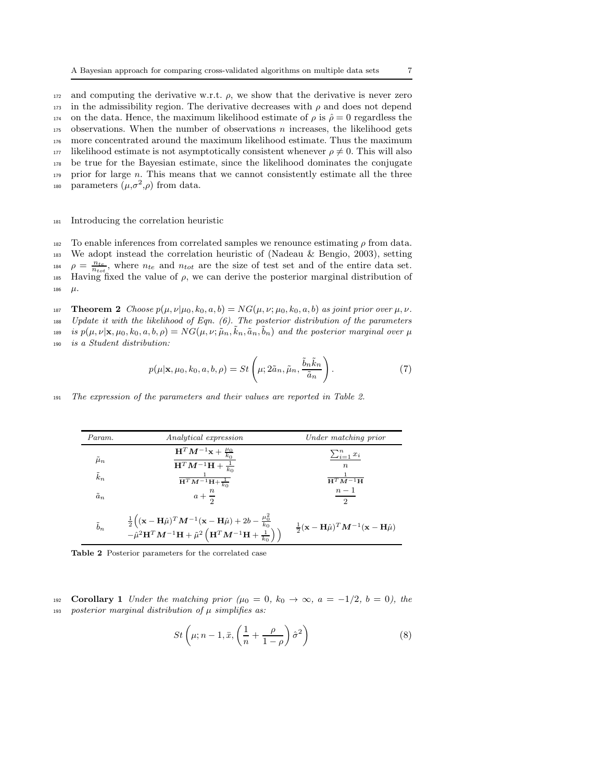172 and computing the derivative w.r.t.  $\rho$ , we show that the derivative is never zero  $173$  in the admissibility region. The derivative decreases with  $\rho$  and does not depend 174 on the data. Hence, the maximum likelihood estimate of  $\rho$  is  $\hat{\rho} = 0$  regardless the  $175$  observations. When the number of observations n increases, the likelihood gets <sup>176</sup> more concentrated around the maximum likelihood estimate. Thus the maximum 177 likelihood estimate is not asymptotically consistent whenever  $\rho \neq 0$ . This will also <sup>178</sup> be true for the Bayesian estimate, since the likelihood dominates the conjugate  $179$  prior for large n. This means that we cannot consistently estimate all the three 180 parameters  $(\mu, \sigma^2, \rho)$  from data.

<sup>181</sup> Introducing the correlation heuristic

182 To enable inferences from correlated samples we renounce estimating  $ρ$  from data. <sup>183</sup> We adopt instead the correlation heuristic of (Nadeau & Bengio, 2003), setting <sup>184</sup>  $\rho = \frac{n_{te}}{n_{tot}}$ , where  $n_{te}$  and  $n_{tot}$  are the size of test set and of the entire data set. 185 Having fixed the value of  $\rho$ , we can derive the posterior marginal distribution of 186  $\mu$ .

**Theorem 2** Choose  $p(\mu, \nu | \mu_0, k_0, a, b) = NG(\mu, \nu; \mu_0, k_0, a, b)$  as joint prior over  $\mu, \nu$ . Update it with the likelihood of Eqn. (6). The posterior distribution of the parameters is is  $p(\mu, \nu|\mathbf{x}, \mu_0, k_0, a, b, \rho) = NG(\mu, \nu; \tilde{\mu}_n, \tilde{k}_n, \tilde{a}_n, \tilde{b}_n)$  and the posterior marginal over  $\mu$ is a Student distribution:

$$
p(\mu|\mathbf{x}, \mu_0, k_0, a, b, \rho) = St\left(\mu; 2\tilde{a}_n, \tilde{\mu}_n, \frac{\tilde{b}_n \tilde{k}_n}{\tilde{a}_n}\right).
$$
\n(7)

<sup>191</sup> The expression of the parameters and their values are reported in Table 2.

| Param.        | Analytical expression                                                                                                                                                                                                                               | Under matching prior                                                                            |  |  |
|---------------|-----------------------------------------------------------------------------------------------------------------------------------------------------------------------------------------------------------------------------------------------------|-------------------------------------------------------------------------------------------------|--|--|
| $\mu_n$       | $\mathbf{H}^T \boldsymbol{M}^{-1} \mathbf{x} + \frac{\mu_0}{k_0}$                                                                                                                                                                                   | $\sum_{i=1}^n x_i$                                                                              |  |  |
|               | $\overline{H^T M^{-1}H + \frac{1}{k_0}}$                                                                                                                                                                                                            | $n_{\rm c}$                                                                                     |  |  |
| $k_n$         | $\frac{1}{\mathbf{H}^T M^{-1} \mathbf{H} + \frac{1}{k_0}}$                                                                                                                                                                                          | $H^T M^{-1}$ H                                                                                  |  |  |
| $\tilde{a}_n$ | $a+\frac{n}{2}$                                                                                                                                                                                                                                     | $n-1$<br>$\overline{2}$                                                                         |  |  |
| $\tilde{b}_n$ | $\frac{1}{2}\Big((\mathbf{x}-\mathbf{H}\hat{\mu})^T\bm{M}^{-1}(\mathbf{x}-\mathbf{H}\hat{\mu})+2b-\frac{\mu_0^2}{k_0}\-\hat{\mu}^2\mathbf{H}^T\bm{M}^{-1}\mathbf{H}+\tilde{\mu}^2\left(\mathbf{H}^T\bm{M}^{-1}\mathbf{H}+\frac{1}{k_0}\right)\Big)$ | $\frac{1}{2}(\mathbf{x}-\mathbf{H}\hat{\mu})^T \mathbf{M}^{-1}(\mathbf{x}-\mathbf{H}\hat{\mu})$ |  |  |

Table 2 Posterior parameters for the correlated case

192 **Corollary 1** Under the matching prior  $(\mu_0 = 0, k_0 \to \infty, a = -1/2, b = 0)$ , the 193 posterior marginal distribution of  $\mu$  simplifies as:

$$
St\left(\mu; n-1, \bar{x}, \left(\frac{1}{n} + \frac{\rho}{1-\rho}\right)\hat{\sigma}^2\right) \tag{8}
$$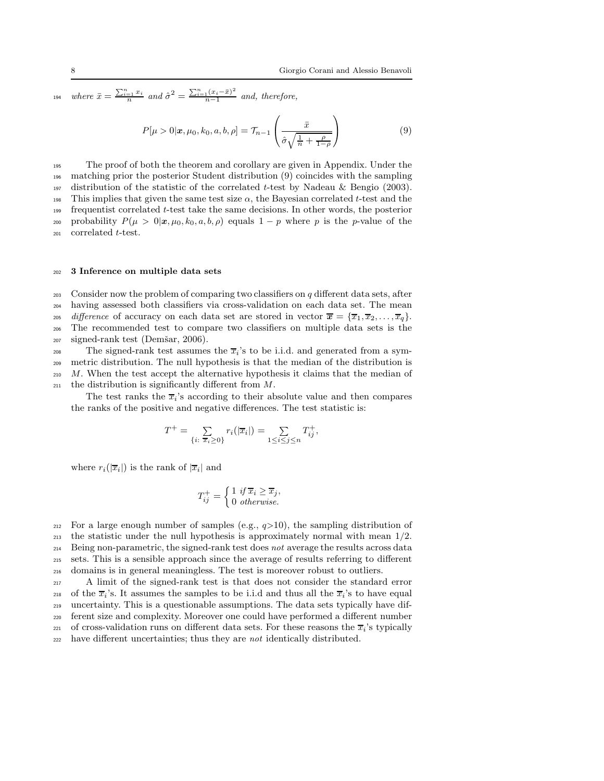where  $\bar{x} = \frac{\sum_{i=1}^{n} x_i}{n}$  and  $\hat{\sigma}^2 = \frac{\sum_{i=1}^{n} (x_i - \bar{x})^2}{n-1}$ 194 where  $\bar{x} = \frac{\sum_{i=1}^{n} x_i}{n}$  and  $\hat{\sigma}^2 = \frac{\sum_{i=1}^{n} (x_i - x_i)}{n-1}$  and, therefore,

$$
P[\mu > 0 | \mathbf{x}, \mu_0, k_0, a, b, \rho] = \mathcal{T}_{n-1} \left( \frac{\bar{x}}{\hat{\sigma} \sqrt{\frac{1}{n} + \frac{\rho}{1 - \rho}}} \right)
$$
(9)

<sup>195</sup> The proof of both the theorem and corollary are given in Appendix. Under the <sup>196</sup> matching prior the posterior Student distribution (9) coincides with the sampling 197 distribution of the statistic of the correlated t-test by Nadeau & Bengio (2003). 198 This implies that given the same test size  $\alpha$ , the Bayesian correlated t-test and the 199 frequentist correlated t-test take the same decisions. In other words, the posterior 200 probability  $P(\mu > 0|\mathbf{x}, \mu_0, k_0, a, b, \rho)$  equals  $1 - p$  where p is the p-value of the <sup>201</sup> correlated t-test.

#### <sup>202</sup> 3 Inference on multiple data sets

203 Consider now the problem of comparing two classifiers on  $q$  different data sets, after <sup>204</sup> having assessed both classifiers via cross-validation on each data set. The mean 205 difference of accuracy on each data set are stored in vector  $\overline{x} = {\overline{x}_1, \overline{x}_2, \ldots, \overline{x}_q}$ . <sup>206</sup> The recommended test to compare two classifiers on multiple data sets is the  $_{207}$  signed-rank test (Demšar, 2006).

208 The signed-rank test assumes the  $\overline{x}_i$ 's to be i.i.d. and generated from a sym-<sup>209</sup> metric distribution. The null hypothesis is that the median of the distribution is  $_{210}$  M. When the test accept the alternative hypothesis it claims that the median of  $_{211}$  the distribution is significantly different from M.

The test ranks the  $\overline{x}_i$ 's according to their absolute value and then compares the ranks of the positive and negative differences. The test statistic is:

$$
T^{+} = \sum_{\{i: \ \overline{x}_{i} \geq 0\}} r_{i}(|\overline{x}_{i}|) = \sum_{1 \leq i \leq j \leq n} T^{+}_{ij},
$$

where  $r_i(|\overline{x}_i|)$  is the rank of  $|\overline{x}_i|$  and

$$
T_{ij}^{+} = \begin{cases} 1 & \text{if } \overline{x}_i \ge \overline{x}_j, \\ 0 & \text{otherwise.} \end{cases}
$$

 $_{212}$  For a large enough number of samples (e.g.,  $q>10$ ), the sampling distribution of the statistic under the null hypothesis is approximately normal with mean 1/2. Being non-parametric, the signed-rank test does not average the results across data sets. This is a sensible approach since the average of results referring to different domains is in general meaningless. The test is moreover robust to outliers.

 A limit of the signed-rank test is that does not consider the standard error 218 of the  $\overline{x}_i$ 's. It assumes the samples to be i.i.d and thus all the  $\overline{x}_i$ 's to have equal uncertainty. This is a questionable assumptions. The data sets typically have dif- ferent size and complexity. Moreover one could have performed a different number 221 of cross-validation runs on different data sets. For these reasons the  $\overline{x}_i$ 's typically have different uncertainties; thus they are not identically distributed.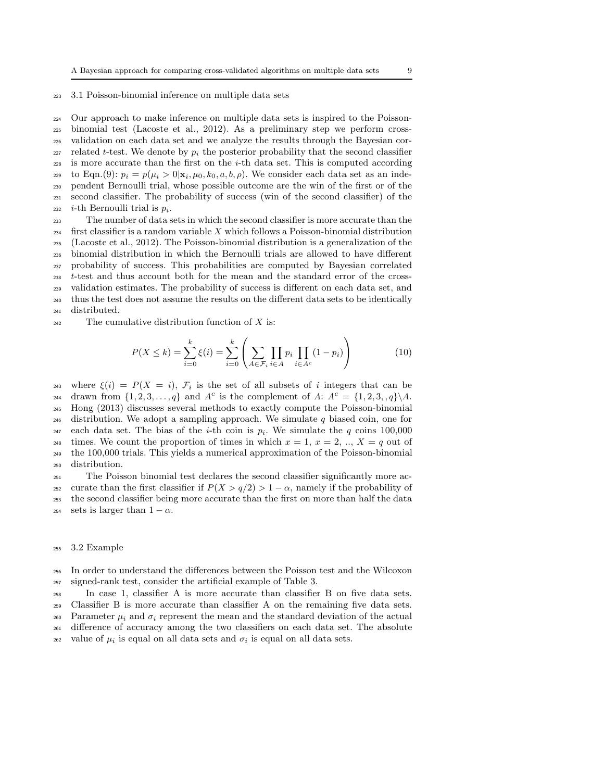<sup>223</sup> 3.1 Poisson-binomial inference on multiple data sets

 Our approach to make inference on multiple data sets is inspired to the Poisson- binomial test (Lacoste et al., 2012). As a preliminary step we perform cross- validation on each data set and we analyze the results through the Bayesian cor- related t-test. We denote by  $p_i$  the posterior probability that the second classifier is more accurate than the first on the i-th data set. This is computed according to Eqn.(9):  $p_i = p(\mu_i > 0 | \mathbf{x}_i, \mu_0, k_0, a, b, \rho)$ . We consider each data set as an inde- pendent Bernoulli trial, whose possible outcome are the win of the first or of the second classifier. The probability of success (win of the second classifier) of the <sup>232</sup> *i*-th Bernoulli trial is  $p_i$ .

 The number of data sets in which the second classifier is more accurate than the first classifier is a random variable X which follows a Poisson-binomial distribution (Lacoste et al., 2012). The Poisson-binomial distribution is a generalization of the binomial distribution in which the Bernoulli trials are allowed to have different probability of success. This probabilities are computed by Bayesian correlated t-test and thus account both for the mean and the standard error of the cross- validation estimates. The probability of success is different on each data set, and thus the test does not assume the results on the different data sets to be identically distributed.

 $242$  The cumulative distribution function of X is:

$$
P(X \le k) = \sum_{i=0}^{k} \xi(i) = \sum_{i=0}^{k} \left( \sum_{A \in \mathcal{F}_i} \prod_{i \in A} p_i \prod_{i \in A^c} (1 - p_i) \right)
$$
(10)

243 where  $\xi(i) = P(X = i), \, \mathcal{F}_i$  is the set of all subsets of i integers that can be drawn from  $\{1, 2, 3, \ldots, q\}$  and  $A^c$  is the complement of A:  $A^c = \{1, 2, 3, q\} \backslash A$ . <sup>245</sup> Hong (2013) discusses several methods to exactly compute the Poisson-binomial 246 distribution. We adopt a sampling approach. We simulate q biased coin, one for <sup>247</sup> each data set. The bias of the *i*-th coin is  $p_i$ . We simulate the q coins 100,000 <sup>248</sup> times. We count the proportion of times in which  $x = 1, x = 2, ..., X = q$  out of <sup>249</sup> the 100,000 trials. This yields a numerical approximation of the Poisson-binomial <sup>250</sup> distribution.

<sup>251</sup> The Poisson binomial test declares the second classifier significantly more ac-252 curate than the first classifier if  $P(X > q/2) > 1 - \alpha$ , namely if the probability of <sup>253</sup> the second classifier being more accurate than the first on more than half the data 254 sets is larger than  $1 - \alpha$ .

#### <sup>255</sup> 3.2 Example

<sup>256</sup> In order to understand the differences between the Poisson test and the Wilcoxon <sup>257</sup> signed-rank test, consider the artificial example of Table 3.

<sup>258</sup> In case 1, classifier A is more accurate than classifier B on five data sets.

<sup>259</sup> Classifier B is more accurate than classifier A on the remaining five data sets.

260 Parameter  $\mu_i$  and  $\sigma_i$  represent the mean and the standard deviation of the actual

<sup>261</sup> difference of accuracy among the two classifiers on each data set. The absolute

<sup>262</sup> value of  $\mu_i$  is equal on all data sets and  $\sigma_i$  is equal on all data sets.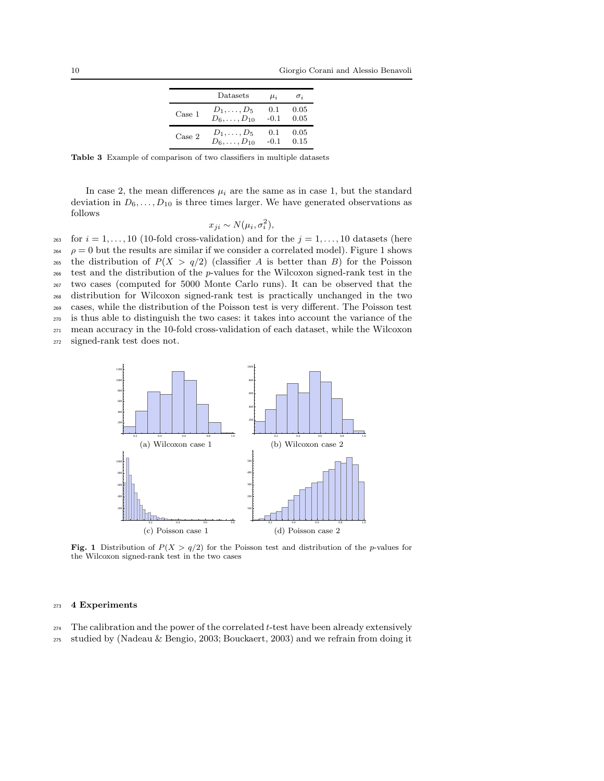|        | Datasets              | $\mu_i$ | $\sigma_i$ |
|--------|-----------------------|---------|------------|
| Case 1 | $D_1,\ldots,D_5$      | 0.1     | 0.05       |
|        | $D_6, \ldots, D_{10}$ | $-0.1$  | 0.05       |
| Case 2 | $D_1,\ldots,D_5$      | 0.1     | 0.05       |
|        | $D_6, \ldots, D_{10}$ | $-0.1$  | 0.15       |

Table 3 Example of comparison of two classifiers in multiple datasets

In case 2, the mean differences  $\mu_i$  are the same as in case 1, but the standard deviation in  $D_6, \ldots, D_{10}$  is three times larger. We have generated observations as follows

$$
x_{ji} \sim N(\mu_i, \sigma_i^2),
$$

<sup>263</sup> for  $i = 1, \ldots, 10$  (10-fold cross-validation) and for the  $j = 1, \ldots, 10$  datasets (here  $\varrho = 0$  but the results are similar if we consider a correlated model). Figure 1 shows 265 the distribution of  $P(X > q/2)$  (classifier A is better than B) for the Poisson  $_{266}$  test and the distribution of the p-values for the Wilcoxon signed-rank test in the <sup>267</sup> two cases (computed for 5000 Monte Carlo runs). It can be observed that the <sup>268</sup> distribution for Wilcoxon signed-rank test is practically unchanged in the two <sup>269</sup> cases, while the distribution of the Poisson test is very different. The Poisson test <sup>270</sup> is thus able to distinguish the two cases: it takes into account the variance of the <sup>271</sup> mean accuracy in the 10-fold cross-validation of each dataset, while the Wilcoxon <sup>272</sup> signed-rank test does not.



Fig. 1 Distribution of  $P(X > q/2)$  for the Poisson test and distribution of the *p*-values for the Wilcoxon signed-rank test in the two cases

#### <sup>273</sup> 4 Experiments

 $274$  The calibration and the power of the correlated t-test have been already extensively

<sup>275</sup> studied by (Nadeau & Bengio, 2003; Bouckaert, 2003) and we refrain from doing it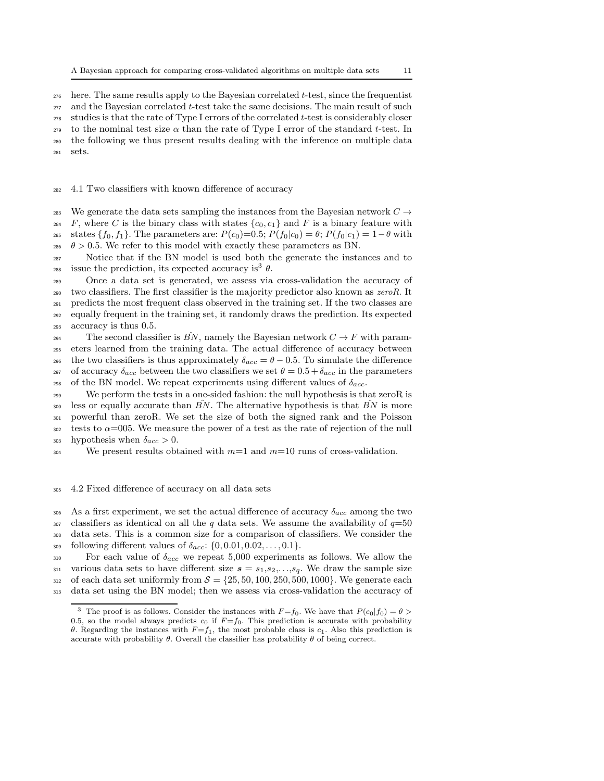$276$  here. The same results apply to the Bayesian correlated t-test, since the frequentist

 $277$  and the Bayesian correlated t-test take the same decisions. The main result of such <sup>278</sup> studies is that the rate of Type I errors of the correlated t-test is considerably closer

279 to the nominal test size  $\alpha$  than the rate of Type I error of the standard t-test. In

<sup>280</sup> the following we thus present results dealing with the inference on multiple data

<sup>281</sup> sets.

<sup>282</sup> 4.1 Two classifiers with known difference of accuracy

283 We generate the data sets sampling the instances from the Bayesian network  $C \rightarrow$ <sup>284</sup> F, where C is the binary class with states  ${c_0, c_1}$  and F is a binary feature with 285 states  $\{f_0, f_1\}$ . The parameters are:  $P(c_0)=0.5; P(f_0|c_0) = \theta; P(f_0|c_1) = 1-\theta$  with 286  $\theta > 0.5$ . We refer to this model with exactly these parameters as BN.

<sup>287</sup> Notice that if the BN model is used both the generate the instances and to issue the prediction, its expected accuracy is  $\theta$ .

 Once a data set is generated, we assess via cross-validation the accuracy of two classifiers. The first classifier is the majority predictor also known as  $zeroR$ . It predicts the most frequent class observed in the training set. If the two classes are equally frequent in the training set, it randomly draws the prediction. Its expected accuracy is thus 0.5.

294 The second classifier is BN, namely the Bayesian network  $C \to F$  with param-<sup>295</sup> eters learned from the training data. The actual difference of accuracy between 296 the two classifiers is thus approximately  $\delta_{acc} = \theta - 0.5$ . To simulate the difference 297 of accuracy  $\delta_{acc}$  between the two classifiers we set  $\theta = 0.5 + \delta_{acc}$  in the parameters 298 of the BN model. We repeat experiments using different values of  $\delta_{acc}$ .

<sup>299</sup> We perform the tests in a one-sided fashion: the null hypothesis is that zeroR is 300 less or equally accurate than  $\widehat{BN}$ . The alternative hypothesis is that  $\widehat{BN}$  is more <sup>301</sup> powerful than zeroR. We set the size of both the signed rank and the Poisson  $302$  tests to  $\alpha=005$ . We measure the power of a test as the rate of rejection of the null 303 hypothesis when  $\delta_{acc} > 0$ .

<sup>304</sup> We present results obtained with  $m=1$  and  $m=10$  runs of cross-validation.

<sup>305</sup> 4.2 Fixed difference of accuracy on all data sets

306 As a first experiment, we set the actual difference of accuracy  $\delta_{acc}$  among the two

 $307$  classifiers as identical on all the q data sets. We assume the availability of  $q=50$ <sup>308</sup> data sets. This is a common size for a comparison of classifiers. We consider the

 $_{309}$  following different values of  $\delta_{acc}$ :  $\{0, 0.01, 0.02, \ldots, 0.1\}$ .

 $310$  For each value of  $\delta_{acc}$  we repeat 5,000 experiments as follows. We allow the 311 various data sets to have different size  $s = s_1, s_2, \ldots, s_q$ . We draw the sample size 312 of each data set uniformly from  $S = \{25, 50, 100, 250, 500, 1000\}$ . We generate each <sup>313</sup> data set using the BN model; then we assess via cross-validation the accuracy of

<sup>&</sup>lt;sup>3</sup> The proof is as follows. Consider the instances with  $F = f_0$ . We have that  $P(c_0|f_0) = \theta >$ 0.5, so the model always predicts  $c_0$  if  $F = f_0$ . This prediction is accurate with probability θ. Regarding the instances with  $F = f_1$ , the most probable class is  $c_1$ . Also this prediction is accurate with probability  $\theta$ . Overall the classifier has probability  $\theta$  of being correct.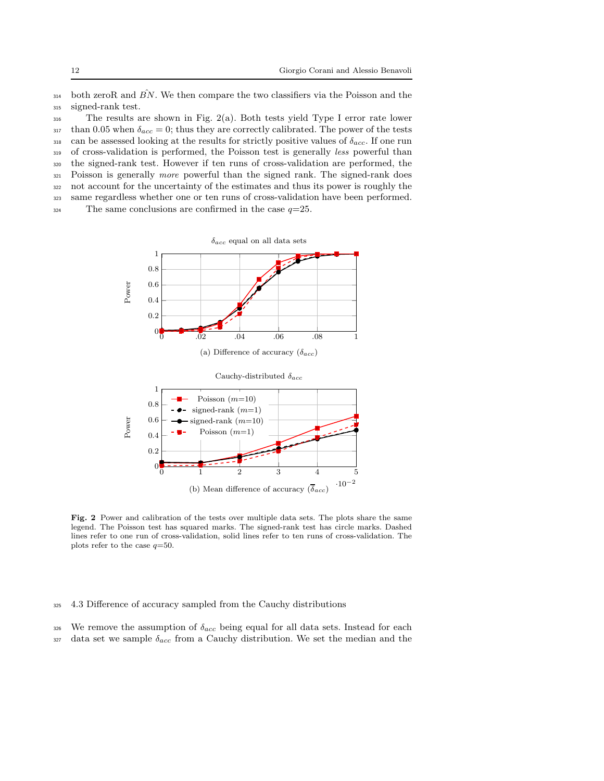$314$  both zeroR and  $\widehat{BN}$ . We then compare the two classifiers via the Poisson and the <sup>315</sup> signed-rank test.

 The results are shown in Fig. 2(a). Both tests yield Type I error rate lower than 0.05 when  $\delta_{acc} = 0$ ; thus they are correctly calibrated. The power of the tests 318 can be assessed looking at the results for strictly positive values of  $\delta_{acc}$ . If one run 319 of cross-validation is performed, the Poisson test is generally less powerful than the signed-rank test. However if ten runs of cross-validation are performed, the Poisson is generally more powerful than the signed rank. The signed-rank does not account for the uncertainty of the estimates and thus its power is roughly the same regardless whether one or ten runs of cross-validation have been performed.

 $324$  The same conclusions are confirmed in the case  $q=25$ .



Fig. 2 Power and calibration of the tests over multiple data sets. The plots share the same legend. The Poisson test has squared marks. The signed-rank test has circle marks. Dashed lines refer to one run of cross-validation, solid lines refer to ten runs of cross-validation. The plots refer to the case  $q=50$ .

# <sup>325</sup> 4.3 Difference of accuracy sampled from the Cauchy distributions

326 We remove the assumption of  $\delta_{acc}$  being equal for all data sets. Instead for each

 $327$  data set we sample  $\delta_{acc}$  from a Cauchy distribution. We set the median and the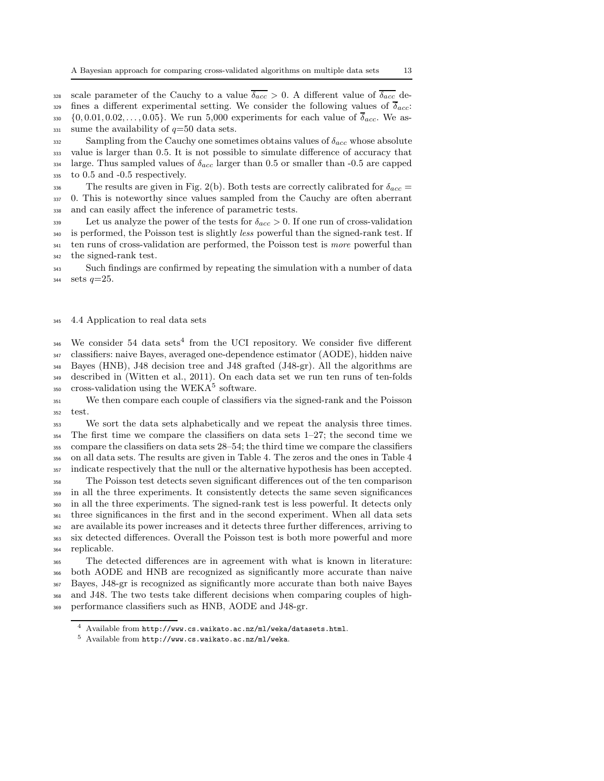328 scale parameter of the Cauchy to a value  $\overline{\delta_{acc}} > 0$ . A different value of  $\overline{\delta_{acc}}$  de- $\frac{329}{2}$  fines a different experimental setting. We consider the following values of  $\overline{\delta}_{acc}$ : 330  $\{0, 0.01, 0.02, \ldots, 0.05\}$ . We run 5,000 experiments for each value of  $\overline{\delta}_{acc}$ . We as-

331 sume the availability of  $q=50$  data sets.

 Sampling from the Cauchy one sometimes obtains values of  $\delta_{acc}$  whose absolute value is larger than 0.5. It is not possible to simulate difference of accuracy that large. Thus sampled values of  $\delta_{acc}$  larger than 0.5 or smaller than -0.5 are capped to 0.5 and -0.5 respectively.

336 The results are given in Fig. 2(b). Both tests are correctly calibrated for  $\delta_{acc}$  = 0. This is noteworthy since values sampled from the Cauchy are often aberrant and can easily affect the inference of parametric tests.

339 Let us analyze the power of the tests for  $\delta_{acc} > 0$ . If one run of cross-validation 340 is performed, the Poisson test is slightly less powerful than the signed-rank test. If <sup>341</sup> ten runs of cross-validation are performed, the Poisson test is *more* powerful than the signed-rank test.

 Such findings are confirmed by repeating the simulation with a number of data sets  $q=25$ .

#### 4.4 Application to real data sets

 We consider 54 data sets<sup>4</sup> from the UCI repository. We consider five different classifiers: naive Bayes, averaged one-dependence estimator (AODE), hidden naive Bayes (HNB), J48 decision tree and J48 grafted (J48-gr). All the algorithms are described in (Witten et al., 2011). On each data set we run ten runs of ten-folds cross-validation using the WEKA<sup>5</sup> software.

 We then compare each couple of classifiers via the signed-rank and the Poisson test.

 We sort the data sets alphabetically and we repeat the analysis three times. The first time we compare the classifiers on data sets 1–27; the second time we compare the classifiers on data sets 28–54; the third time we compare the classifiers on all data sets. The results are given in Table 4. The zeros and the ones in Table 4 indicate respectively that the null or the alternative hypothesis has been accepted. The Poisson test detects seven significant differences out of the ten comparison

 in all the three experiments. It consistently detects the same seven significances in all the three experiments. The signed-rank test is less powerful. It detects only three significances in the first and in the second experiment. When all data sets are available its power increases and it detects three further differences, arriving to six detected differences. Overall the Poisson test is both more powerful and more replicable.

 The detected differences are in agreement with what is known in literature: both AODE and HNB are recognized as significantly more accurate than naive Bayes, J48-gr is recognized as significantly more accurate than both naive Bayes and J48. The two tests take different decisions when comparing couples of high-performance classifiers such as HNB, AODE and J48-gr.

Available from http://www.cs.waikato.ac.nz/ml/weka/datasets.html.

Available from http://www.cs.waikato.ac.nz/ml/weka.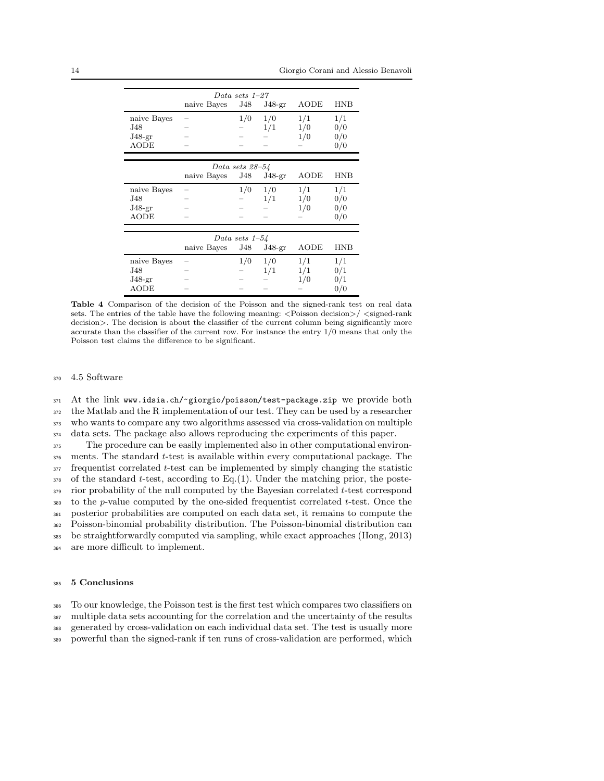|                                                                                 | naive Bayes | Data sets $1-27$<br>J48 | $J48-gr$   | <b>AODE</b>       | <b>HNB</b>               |  |
|---------------------------------------------------------------------------------|-------------|-------------------------|------------|-------------------|--------------------------|--|
| naive Bayes<br>J48<br>$J48-gr$<br>AODE                                          |             | 1/0                     | 1/0<br>1/1 | 1/1<br>1/0<br>1/0 | 1/1<br>0/0<br>0/0<br>0/0 |  |
|                                                                                 |             |                         |            |                   |                          |  |
| Data sets $28-54$                                                               |             |                         |            |                   |                          |  |
|                                                                                 | naive Bayes | J48                     | $J48-gr$   | <b>AODE</b>       | <b>HNB</b>               |  |
| naive Bayes<br>J48<br>$J48-gr$<br>AODE                                          |             | 1/0                     | 1/0<br>1/1 | 1/1<br>1/0<br>1/0 | 1/1<br>0/0<br>0/0<br>0/0 |  |
|                                                                                 |             |                         |            |                   |                          |  |
| Data sets $1-54$<br><b>AODE</b><br><b>HNB</b><br>J48<br>naive Bayes<br>$J48-gr$ |             |                         |            |                   |                          |  |
|                                                                                 |             |                         |            |                   |                          |  |
| naive Bayes                                                                     |             | 1/0                     | 1/0        | 1/1               | 1/1                      |  |
| J48                                                                             |             |                         | 1/1        | 1/1               | 0/1                      |  |
| $J48-gr$                                                                        |             |                         |            | 1/0               | 0/1                      |  |
| <b>AODE</b>                                                                     |             |                         |            |                   | 0/0                      |  |

Table 4 Comparison of the decision of the Poisson and the signed-rank test on real data sets. The entries of the table have the following meaning:  $\langle Poisson\ decision \rangle / \langle signed-rank\rangle$ decision >. The decision is about the classifier of the current column being significantly more accurate than the classifier of the current row. For instance the entry 1/0 means that only the Poisson test claims the difference to be significant.

#### <sup>370</sup> 4.5 Software

 At the link www.idsia.ch/~giorgio/poisson/test-package.zip we provide both the Matlab and the R implementation of our test. They can be used by a researcher who wants to compare any two algorithms assessed via cross-validation on multiple data sets. The package also allows reproducing the experiments of this paper.

 The procedure can be easily implemented also in other computational environ- ments. The standard t-test is available within every computational package. The frequentist correlated t-test can be implemented by simply changing the statistic of the standard t-test, according to Eq.(1). Under the matching prior, the poste-379 rior probability of the null computed by the Bayesian correlated t-test correspond to the p-value computed by the one-sided frequentist correlated t-test. Once the posterior probabilities are computed on each data set, it remains to compute the Poisson-binomial probability distribution. The Poisson-binomial distribution can be straightforwardly computed via sampling, while exact approaches (Hong, 2013) are more difficult to implement.

#### <sup>385</sup> 5 Conclusions

<sup>386</sup> To our knowledge, the Poisson test is the first test which compares two classifiers on

<sup>387</sup> multiple data sets accounting for the correlation and the uncertainty of the results

<sup>388</sup> generated by cross-validation on each individual data set. The test is usually more

<sup>389</sup> powerful than the signed-rank if ten runs of cross-validation are performed, which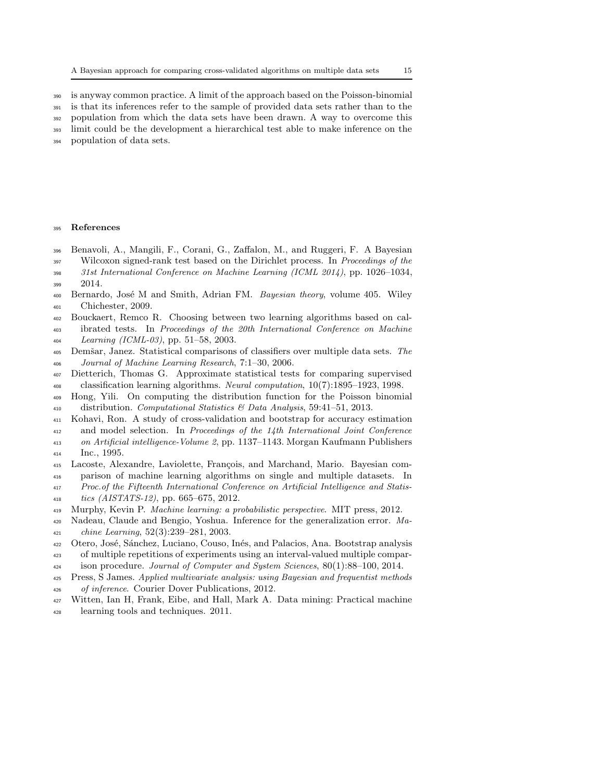is anyway common practice. A limit of the approach based on the Poisson-binomial

is that its inferences refer to the sample of provided data sets rather than to the

population from which the data sets have been drawn. A way to overcome this

- limit could be the development a hierarchical test able to make inference on the
- population of data sets.

#### References

- Benavoli, A., Mangili, F., Corani, G., Zaffalon, M., and Ruggeri, F. A Bayesian
- Wilcoxon signed-rank test based on the Dirichlet process. In Proceedings of the
- 31st International Conference on Machine Learning (ICML 2014), pp. 1026–1034, 2014.
- 400 Bernardo, José M and Smith, Adrian FM. Bayesian theory, volume 405. Wiley Chichester, 2009.
- Bouckaert, Remco R. Choosing between two learning algorithms based on cal-
- ibrated tests. In Proceedings of the 20th International Conference on Machine
- Learning (ICML-03), pp. 51–58, 2003.
- Demˇsar, Janez. Statistical comparisons of classifiers over multiple data sets. The Journal of Machine Learning Research, 7:1–30, 2006.
- Dietterich, Thomas G. Approximate statistical tests for comparing supervised classification learning algorithms. Neural computation, 10(7):1895–1923, 1998.
- Hong, Yili. On computing the distribution function for the Poisson binomial 410 distribution. Computational Statistics & Data Analysis, 59:41–51, 2013.
- Kohavi, Ron. A study of cross-validation and bootstrap for accuracy estimation and model selection. In Proceedings of the 14th International Joint Conference
- on Artificial intelligence-Volume 2, pp. 1137–1143. Morgan Kaufmann Publishers Inc., 1995.
- <sup>415</sup> Lacoste, Alexandre, Laviolette, François, and Marchand, Mario. Bayesian com-parison of machine learning algorithms on single and multiple datasets. In
- Proc.of the Fifteenth International Conference on Artificial Intelligence and Statis $tics$  (AISTATS-12), pp. 665–675, 2012.
- Murphy, Kevin P. Machine learning: a probabilistic perspective. MIT press, 2012.
- Nadeau, Claude and Bengio, Yoshua. Inference for the generalization error. Ma-chine Learning, 52(3):239–281, 2003.
- <sup>422</sup> Otero, José, Sánchez, Luciano, Couso, Inés, and Palacios, Ana. Bootstrap analysis of multiple repetitions of experiments using an interval-valued multiple compar- $\mu_{424}$  ison procedure. Journal of Computer and System Sciences, 80(1):88–100, 2014.
- 
- Press, S James. Applied multivariate analysis: using Bayesian and frequentist methods <sup>426</sup> of inference. Courier Dover Publications, 2012.
- Witten, Ian H, Frank, Eibe, and Hall, Mark A. Data mining: Practical machine learning tools and techniques. 2011.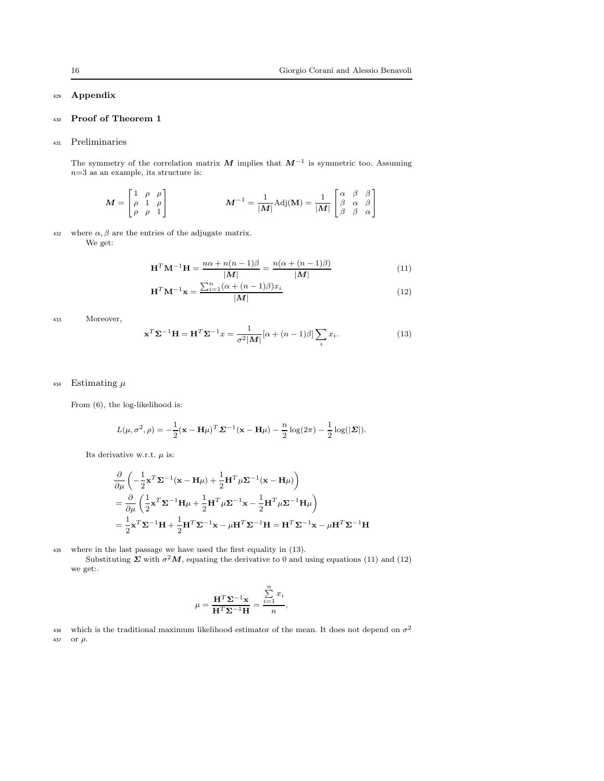# <sup>429</sup> Appendix

# <sup>430</sup> Proof of Theorem 1

# <sup>431</sup> Preliminaries

The symmetry of the correlation matrix M implies that  $M^{-1}$  is symmetric too. Assuming  $n=3$  as an example, its structure is:

$$
\boldsymbol{M} = \begin{bmatrix} 1 & \rho & \rho \\ \rho & 1 & \rho \\ \rho & \rho & 1 \end{bmatrix} \qquad \qquad \boldsymbol{M}^{-1} = \frac{1}{|\boldsymbol{M}|} \text{Adj}(\boldsymbol{M}) = \frac{1}{|\boldsymbol{M}|} \begin{bmatrix} \alpha & \beta & \beta \\ \beta & \alpha & \beta \\ \beta & \beta & \alpha \end{bmatrix}
$$

432 where  $\alpha$ ,  $\beta$  are the entries of the adjugate matrix.

We get:

$$
\mathbf{H}^T \mathbf{M}^{-1} \mathbf{H} = \frac{n\alpha + n(n-1)\beta}{|\mathbf{M}|} = \frac{n(\alpha + (n-1)\beta)}{|\mathbf{M}|}
$$
(11)

$$
\mathbf{H}^T \mathbf{M}^{-1} \mathbf{x} = \frac{\sum_{i=1}^n (\alpha + (n-1)\beta)x_i}{|\mathbf{M}|}
$$
(12)

<sup>433</sup> Moreover,

$$
\mathbf{x}^T \Sigma^{-1} \mathbf{H} = \mathbf{H}^T \Sigma^{-1} x = \frac{1}{\sigma^2 |M|} [\alpha + (n-1)\beta] \sum_i x_i.
$$
 (13)

### 434 Estimating  $\mu$

From (6), the log-likelihood is:

$$
L(\mu, \sigma^2, \rho) = -\frac{1}{2}(\mathbf{x} - \mathbf{H}\mu)^T \Sigma^{-1}(\mathbf{x} - \mathbf{H}\mu) - \frac{n}{2}\log(2\pi) - \frac{1}{2}\log(|\Sigma|).
$$

Its derivative w.r.t.  $\mu$  is:

$$
\frac{\partial}{\partial \mu} \left( -\frac{1}{2} \mathbf{x}^T \mathbf{\Sigma}^{-1} (\mathbf{x} - \mathbf{H} \mu) + \frac{1}{2} \mathbf{H}^T \mu \mathbf{\Sigma}^{-1} (\mathbf{x} - \mathbf{H} \mu) \right) \n= \frac{\partial}{\partial \mu} \left( \frac{1}{2} \mathbf{x}^T \mathbf{\Sigma}^{-1} \mathbf{H} \mu + \frac{1}{2} \mathbf{H}^T \mu \mathbf{\Sigma}^{-1} \mathbf{x} - \frac{1}{2} \mathbf{H}^T \mu \mathbf{\Sigma}^{-1} \mathbf{H} \mu \right) \n= \frac{1}{2} \mathbf{x}^T \mathbf{\Sigma}^{-1} \mathbf{H} + \frac{1}{2} \mathbf{H}^T \mathbf{\Sigma}^{-1} \mathbf{x} - \mu \mathbf{H}^T \mathbf{\Sigma}^{-1} \mathbf{H} = \mathbf{H}^T \mathbf{\Sigma}^{-1} \mathbf{x} - \mu \mathbf{H}^T \mathbf{\Sigma}^{-1} \mathbf{H}
$$

<sup>435</sup> where in the last passage we have used the first equality in (13).

Substituting  $\Sigma$  with  $\sigma^2 M$ , equating the derivative to 0 and using equations (11) and (12) we get:.

$$
\mu = \frac{\mathbf{H}^T \mathbf{\Sigma}^{-1} \mathbf{x}}{\mathbf{H}^T \mathbf{\Sigma}^{-1} \mathbf{H}} = \frac{\sum_{i=1}^n x_i}{n},
$$

which is the traditional maximum likelihood estimator of the mean. It does not depend on  $\sigma^2$ 436 437 or  $\rho.$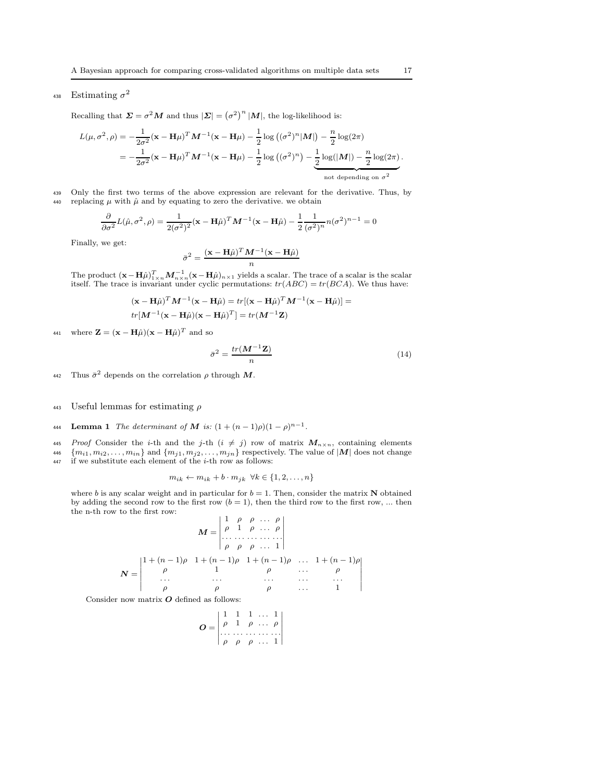#### Estimating  $\sigma^2$ 438

Recalling that  $\Sigma = \sigma^2 M$  and thus  $|\Sigma| = (\sigma^2)^n |M|$ , the log-likelihood is:

$$
L(\mu, \sigma^2, \rho) = -\frac{1}{2\sigma^2} (\mathbf{x} - \mathbf{H}\mu)^T \mathbf{M}^{-1} (\mathbf{x} - \mathbf{H}\mu) - \frac{1}{2} \log ((\sigma^2)^n |\mathbf{M}|) - \frac{n}{2} \log (2\pi)
$$
  
= 
$$
-\frac{1}{2\sigma^2} (\mathbf{x} - \mathbf{H}\mu)^T \mathbf{M}^{-1} (\mathbf{x} - \mathbf{H}\mu) - \frac{1}{2} \log ((\sigma^2)^n) - \frac{1}{2} \frac{\log(|\mathbf{M}|) - \frac{n}{2} \log(2\pi)}{\log \text{degending on } \sigma^2}.
$$

<sup>439</sup> Only the first two terms of the above expression are relevant for the derivative. Thus, by 440 replacing  $\mu$  with  $\hat{\mu}$  and by equating to zero the derivative. we obtain

$$
\frac{\partial}{\partial \sigma^2} L(\hat{\mu}, \sigma^2, \rho) = \frac{1}{2(\sigma^2)^2} (\mathbf{x} - \mathbf{H}\hat{\mu})^T \mathbf{M}^{-1} (\mathbf{x} - \mathbf{H}\hat{\mu}) - \frac{1}{2} \frac{1}{(\sigma^2)^n} n(\sigma^2)^{n-1} = 0
$$

Finally, we get:

$$
\bar{\sigma}^2 = \frac{(\mathbf{x} - \mathbf{H}\hat{\mu})^T \mathbf{M}^{-1}(\mathbf{x} - \mathbf{H}\hat{\mu})}{n}
$$

The product  $(\mathbf{x} - \mathbf{H}\hat{\mu})_{1 \times n}^T \mathbf{M}_{n \times n}^{-1} (\mathbf{x} - \mathbf{H}\hat{\mu})_{n \times 1}$  yields a scalar. The trace of a scalar is the scalar itself. The trace is invariant under cyclic permutations:  $tr(ABC) = tr(BCA)$ . We thus have:

$$
(\mathbf{x} - \mathbf{H}\hat{\mu})^T \mathbf{M}^{-1} (\mathbf{x} - \mathbf{H}\hat{\mu}) = tr[(\mathbf{x} - \mathbf{H}\hat{\mu})^T \mathbf{M}^{-1} (\mathbf{x} - \mathbf{H}\hat{\mu})] =
$$
  

$$
tr[\mathbf{M}^{-1} (\mathbf{x} - \mathbf{H}\hat{\mu}) (\mathbf{x} - \mathbf{H}\hat{\mu})^T] = tr(\mathbf{M}^{-1} \mathbf{Z})
$$

441 where  $\mathbf{Z} = (\mathbf{x} - \mathbf{H}\hat{\mu})(\mathbf{x} - \mathbf{H}\hat{\mu})^T$  and so

$$
\bar{\sigma}^2 = \frac{tr(M^{-1}\mathbf{Z})}{n} \tag{14}
$$

442 Thus  $\bar{\sigma}^2$  depends on the correlation  $\rho$  through M.

#### 443 Useful lemmas for estimating  $ρ$

**Lemma 1** The determinant of **M** is:  $(1 + (n-1)\rho)(1 - \rho)^{n-1}$ .

445 Proof Consider the *i*-th and the *j*-th  $(i \neq j)$  row of matrix  $M_{n \times n}$ , containing elements  ${m_{i1}, m_{i2}, \ldots, m_{in}}$  and  ${m_{j1}, m_{j2}, \ldots, m_{jn}}$  respectively. The value of  $|M|$  does not change

 $447$  if we substitute each element of the *i*-th row as follows:

$$
m_{ik} \leftarrow m_{ik} + b \cdot m_{jk} \ \forall k \in \{1, 2, \dots, n\}
$$

where b is any scalar weight and in particular for  $b = 1$ . Then, consider the matrix N obtained by adding the second row to the first row  $(b = 1)$ , then the third row to the first row, ... then the n-th row to the first row:

$$
N = \begin{vmatrix} 1 & \rho & \rho & \dots & \rho \\ \rho & 1 & \rho & \dots & \rho \\ \dots & \dots & \dots & \dots \\ \rho & \rho & \rho & \dots & 1 \end{vmatrix}
$$
  

$$
N = \begin{vmatrix} 1 + (n-1)\rho & 1 + (n-1)\rho & 1 + (n-1)\rho & \dots & 1 + (n-1)\rho \\ \rho & 1 & \rho & \dots & \rho \\ \dots & \dots & \dots & \dots & \dots \\ \rho & \rho & \rho & \dots & 1 \end{vmatrix}
$$

Consider now matrix  $O$  defined as follows:

$$
\boldsymbol{O} = \begin{vmatrix} 1 & 1 & 1 & \dots & 1 \\ \rho & 1 & \rho & \dots & \rho \\ \vdots & \vdots & \ddots & \vdots & \vdots \\ \rho & \rho & \rho & \dots & 1 \end{vmatrix}
$$

 $\sim$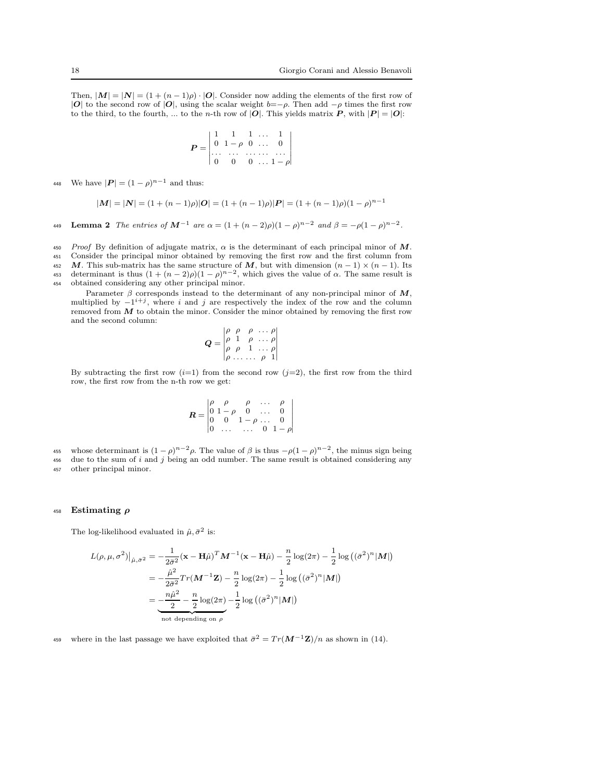Then,  $|M| = |N| = (1 + (n-1)\rho) \cdot |O|$ . Consider now adding the elements of the first row of |O| to the second row of  $|O|$ , using the scalar weight  $b=-\rho$ . Then add  $-\rho$  times the first row to the third, to the fourth, ... to the *n*-th row of  $|O|$ . This yields matrix P, with  $|P| = |O|$ :

$$
P = \begin{vmatrix} 1 & 1 & 1 & \dots & 1 \\ 0 & 1 - \rho & 0 & \dots & 0 \\ \dots & \dots & \dots & \dots & \dots \\ 0 & 0 & 0 & \dots & 1 - \rho \end{vmatrix}
$$

448 We have  $|P| = (1 - \rho)^{n-1}$  and thus:

$$
|\mathbf{M}| = |\mathbf{N}| = (1 + (n-1)\rho)|\mathbf{O}| = (1 + (n-1)\rho)|\mathbf{P}| = (1 + (n-1)\rho)(1-\rho)^{n-1}
$$

**Lemma 2** The entries of  $M^{-1}$  are  $\alpha = (1 + (n-2)\rho)(1-\rho)^{n-2}$  and  $\beta = -\rho(1-\rho)^{n-2}$ .

450 Proof By definition of adjugate matrix,  $\alpha$  is the determinant of each principal minor of M.

<sup>451</sup> Consider the principal minor obtained by removing the first row and the first column from

452 M. This sub-matrix has the same structure of M, but with dimension  $(n-1) \times (n-1)$ . Its

453 determinant is thus  $(1 + (n-2)\rho)(1-\rho)^{n-2}$ , which gives the value of α. The same result is <sup>454</sup> obtained considering any other principal minor.

Parameter  $\beta$  corresponds instead to the determinant of any non-principal minor of  $M$ , multiplied by  $-1^{i+j}$ , where i and j are respectively the index of the row and the column removed from  $M$  to obtain the minor. Consider the minor obtained by removing the first row and the second column:

$$
Q = \begin{vmatrix} \rho & \rho & \rho & \dots & \rho \\ \rho & 1 & \rho & \dots & \rho \\ \rho & \rho & 1 & \dots & \rho \\ \rho & \dots & \dots & \rho & 1 \end{vmatrix}
$$

By subtracting the first row  $(i=1)$  from the second row  $(j=2)$ , the first row from the third row, the first row from the n-th row we get:

$$
\boldsymbol{R} = \begin{bmatrix} \rho & \rho & \rho & \dots & \rho \\ 0 & 1 - \rho & 0 & \dots & 0 \\ 0 & 0 & 1 - \rho & \dots & 0 \\ 0 & \dots & \dots & 0 & 1 - \rho \end{bmatrix}
$$

455 whose determinant is  $(1 - \rho)^{n-2}\rho$ . The value of  $\beta$  is thus  $-\rho(1 - \rho)^{n-2}$ , the minus sign being

456 due to the sum of  $i$  and  $j$  being an odd number. The same result is obtained considering any <sup>457</sup> other principal minor.

#### 458 Estimating  $\rho$

The log-likelihood evaluated in  $\hat{\mu}, \bar{\sigma}^2$  is:

$$
L(\rho, \mu, \sigma^2)|_{\hat{\mu}, \bar{\sigma}^2} = -\frac{1}{2\bar{\sigma}^2} (\mathbf{x} - \mathbf{H}\hat{\mu})^T \mathbf{M}^{-1} (\mathbf{x} - \mathbf{H}\hat{\mu}) - \frac{n}{2} \log(2\pi) - \frac{1}{2} \log((\bar{\sigma}^2)^n |\mathbf{M}|)
$$
  
= 
$$
-\frac{\hat{\mu}^2}{2\bar{\sigma}^2} Tr(\mathbf{M}^{-1} \mathbf{Z}) - \frac{n}{2} \log(2\pi) - \frac{1}{2} \log((\bar{\sigma}^2)^n |\mathbf{M}|)
$$
  
= 
$$
-\frac{n\hat{\mu}^2}{2} - \frac{n}{2} \log(2\pi) - \frac{1}{2} \log((\bar{\sigma}^2)^n |\mathbf{M}|)
$$
  
not depending on  $\rho$ 

459 where in the last passage we have exploited that  $\bar{\sigma}^2 = Tr(M^{-1}\mathbf{Z})/n$  as shown in (14).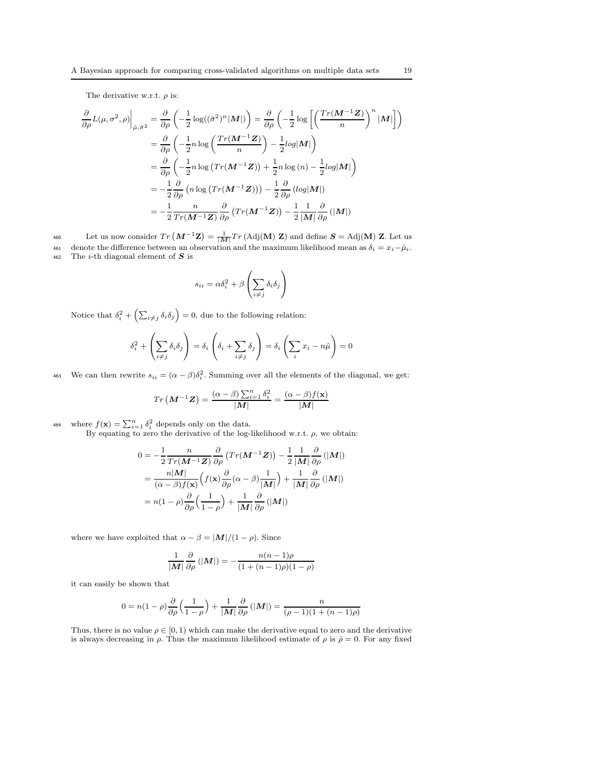The derivative w.r.t.  $\rho$  is:

$$
\frac{\partial}{\partial \rho} L(\mu, \sigma^2, \rho) \Big|_{\hat{\mu}, \bar{\sigma}^2} = \frac{\partial}{\partial \rho} \left( -\frac{1}{2} \log((\bar{\sigma}^2)^n |M|) \right) = \frac{\partial}{\partial \rho} \left( -\frac{1}{2} \log \left[ \left( \frac{Tr(M^{-1}Z)}{n} \right)^n |M| \right] \right)
$$

$$
= \frac{\partial}{\partial \rho} \left( -\frac{1}{2} n \log \left( \frac{Tr(M^{-1}Z)}{n} \right) - \frac{1}{2} log|M| \right)
$$

$$
= \frac{\partial}{\partial \rho} \left( -\frac{1}{2} n \log (Tr(M^{-1}Z)) + \frac{1}{2} n \log (n) - \frac{1}{2} log|M| \right)
$$

$$
= -\frac{1}{2} \frac{\partial}{\partial \rho} \left( n \log (Tr(M^{-1}Z)) \right) - \frac{1}{2} \frac{\partial}{\partial \rho} (log|M|)
$$

$$
= -\frac{1}{2} \frac{n}{Tr(M^{-1}Z)} \frac{\partial}{\partial \rho} \left( Tr(M^{-1}Z) \right) - \frac{1}{2} \frac{1}{|M|} \frac{\partial}{\partial \rho} (|M|)
$$

460 Let us now consider  $Tr\left(\mathbf{M}^{-1}\mathbf{Z}\right) = \frac{1}{|\mathbf{M}|} Tr\left(\text{Adj}(\mathbf{M})\right)\mathbf{Z}$  and define  $\mathbf{S} = \text{Adj}(\mathbf{M})\mathbf{Z}$ . Let us 461 denote the difference between an observation and the maximum likelihood mean as  $\delta_i = x_i - \hat{\mu}_i$ .<br>462 The *i*-th diagonal element of S is

$$
s_{ii} = \alpha \delta_i^2 + \beta \left( \sum_{i \neq j} \delta_i \delta_j \right)
$$

Notice that  $\delta_i^2 + \left(\sum_{i \neq j} \delta_i \delta_j\right) = 0$ , due to the following relation:

$$
\delta_i^2 + \left(\sum_{i \neq j} \delta_i \delta_j\right) = \delta_i \left(\delta_i + \sum_{i \neq j} \delta_j\right) = \delta_i \left(\sum_i x_i - n\hat{\mu}\right) = 0
$$

463 We can then rewrite  $s_{ii} = (\alpha - \beta)\delta_i^2$ . Summing over all the elements of the diagonal, we get:

$$
Tr\left(\mathbf{M}^{-1}\mathbf{Z}\right) = \frac{(\alpha - \beta)\sum_{i=1}^{n}\delta_i^2}{|\mathbf{M}|} = \frac{(\alpha - \beta)f(\mathbf{x})}{|\mathbf{M}|}
$$

464 where  $f(\mathbf{x}) = \sum_{i=1}^{n} \delta_i^2$  depends only on the data.

By equating to zero the derivative of the log-likelihood w.r.t.  $\rho$ , we obtain:

$$
0 = -\frac{1}{2} \frac{n}{Tr(M^{-1}Z)} \frac{\partial}{\partial \rho} (Tr(M^{-1}Z)) - \frac{1}{2} \frac{1}{|M|} \frac{\partial}{\partial \rho} (|M|)
$$
  
= 
$$
\frac{n|M|}{(\alpha - \beta)f(\mathbf{x})} \left(f(\mathbf{x}) \frac{\partial}{\partial \rho} (\alpha - \beta) \frac{1}{|M|}\right) + \frac{1}{|M|} \frac{\partial}{\partial \rho} (|M|)
$$
  
= 
$$
n(1 - \rho) \frac{\partial}{\partial \rho} \left(\frac{1}{1 - \rho}\right) + \frac{1}{|M|} \frac{\partial}{\partial \rho} (|M|)
$$

where we have exploited that  $\alpha - \beta = |M|/(1 - \rho)$ . Since

$$
\frac{1}{|\mathbf{M}|} \frac{\partial}{\partial \rho} (|\mathbf{M}|) = -\frac{n(n-1)\rho}{(1+(n-1)\rho)(1-\rho)}
$$

it can easily be shown that

$$
0 = n(1 - \rho) \frac{\partial}{\partial \rho} \left( \frac{1}{1 - \rho} \right) + \frac{1}{|M|} \frac{\partial}{\partial \rho} \left( |M| \right) = \frac{n}{(\rho - 1)(1 + (n - 1)\rho)}
$$

Thus, there is no value  $\rho \in [0, 1)$  which can make the derivative equal to zero and the derivative is always decreasing in  $\rho$ . Thus the maximum likelihood estimate of  $\rho$  is  $\hat{\rho} = 0$ . For any fixed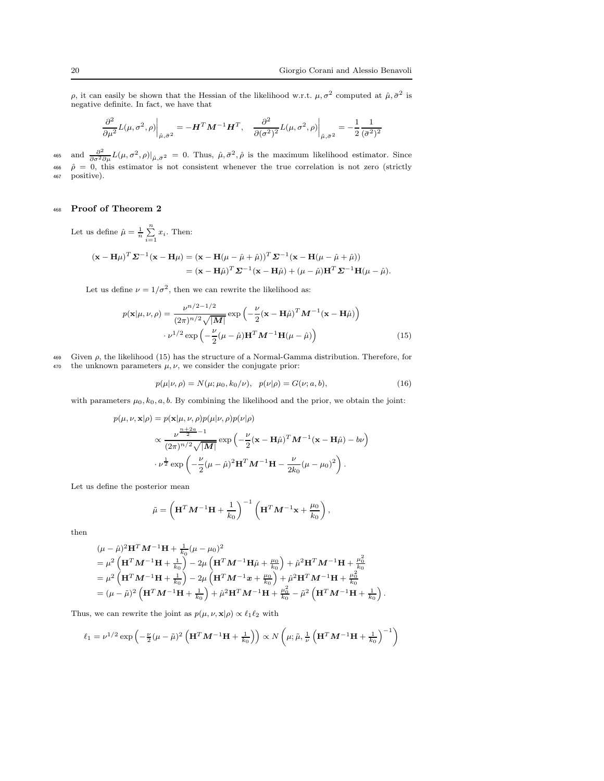ρ, it can easily be shown that the Hessian of the likelihood w.r.t.  $\mu$ ,  $\sigma^2$  computed at  $\hat{\mu}$ ,  $\bar{\sigma}^2$  is negative definite. In fact, we have that

$$
\left. \frac{\partial^2}{\partial \mu^2} L(\mu, \sigma^2, \rho) \right|_{\hat{\mu}, \bar{\sigma}^2} = -\boldsymbol{H}^T \boldsymbol{M}^{-1} \boldsymbol{H}^T, \quad \left. \frac{\partial^2}{\partial (\sigma^2)^2} L(\mu, \sigma^2, \rho) \right|_{\hat{\mu}, \bar{\sigma}^2} = -\frac{1}{2} \frac{1}{(\bar{\sigma}^2)^2}
$$

465 and  $\frac{\partial^2}{\partial \sigma^2 \partial \mu} L(\mu, \sigma^2, \rho)|_{\hat{\mu}, \bar{\sigma}^2} = 0$ . Thus,  $\hat{\mu}, \bar{\sigma}^2, \hat{\rho}$  is the maximum likelihood estimator. Since  $\hat{\rho} = 0$ , this estimator is not consistent whenever the true correlation is not zero (strictly <sup>467</sup> positive).

#### <sup>468</sup> Proof of Theorem 2

Let us define 
$$
\hat{\mu} = \frac{1}{n} \sum_{i=1}^{n} x_i
$$
. Then:  
\n
$$
(\mathbf{x} - \mathbf{H}\boldsymbol{\mu})^T \boldsymbol{\Sigma}^{-1} (\mathbf{x} - \mathbf{H}\boldsymbol{\mu}) = (\mathbf{x} - \mathbf{H}(\boldsymbol{\mu} - \hat{\boldsymbol{\mu}} + \hat{\boldsymbol{\mu}}))^T \boldsymbol{\Sigma}^{-1} (\mathbf{x} - \mathbf{H}(\boldsymbol{\mu} - \hat{\boldsymbol{\mu}} + \hat{\boldsymbol{\mu}}))
$$
\n
$$
= (\mathbf{x} - \mathbf{H}\hat{\boldsymbol{\mu}})^T \boldsymbol{\Sigma}^{-1} (\mathbf{x} - \mathbf{H}\hat{\boldsymbol{\mu}}) + (\boldsymbol{\mu} - \hat{\boldsymbol{\mu}})\mathbf{H}^T \boldsymbol{\Sigma}^{-1} \mathbf{H}(\boldsymbol{\mu} - \hat{\boldsymbol{\mu}}).
$$

Let us define  $\nu = 1/\sigma^2$ , then we can rewrite the likelihood as:

$$
p(\mathbf{x}|\mu,\nu,\rho) = \frac{\nu^{n/2-1/2}}{(2\pi)^{n/2}\sqrt{|\mathbf{M}|}} \exp\left(-\frac{\nu}{2}(\mathbf{x}-\mathbf{H}\hat{\mu})^T \mathbf{M}^{-1}(\mathbf{x}-\mathbf{H}\hat{\mu})\right)
$$

$$
\cdot \nu^{1/2} \exp\left(-\frac{\nu}{2}(\mu-\hat{\mu})\mathbf{H}^T \mathbf{M}^{-1} \mathbf{H}(\mu-\hat{\mu})\right) \tag{15}
$$

#### 469 Given  $\rho$ , the likelihood (15) has the structure of a Normal-Gamma distribution. Therefore, for 470 the unknown parameters  $\mu$ ,  $\nu$ , we consider the conjugate prior:

$$
p(\mu|\nu,\rho) = N(\mu;\mu_0,k_0/\nu), \quad p(\nu|\rho) = G(\nu;a,b), \tag{16}
$$

with parameters  $\mu_0, k_0, a, b$ . By combining the likelihood and the prior, we obtain the joint:

$$
p(\mu, \nu, \mathbf{x} | \rho) = p(\mathbf{x} | \mu, \nu, \rho) p(\mu | \nu, \rho) p(\nu | \rho)
$$
  
 
$$
\propto \frac{\nu^{\frac{n+2a}{2} - 1}}{(2\pi)^{n/2} \sqrt{|\mathbf{M}|}} \exp\left(-\frac{\nu}{2} (\mathbf{x} - \mathbf{H}\hat{\mu})^T \mathbf{M}^{-1} (\mathbf{x} - \mathbf{H}\hat{\mu}) - b\nu\right)
$$
  
 
$$
\cdot \nu^{\frac{1}{2}} \exp\left(-\frac{\nu}{2} (\mu - \hat{\mu})^2 \mathbf{H}^T \mathbf{M}^{-1} \mathbf{H} - \frac{\nu}{2k_0} (\mu - \mu_0)^2\right).
$$

Let us define the posterior mean

$$
\tilde{\mu} = \left(\mathbf{H}^T \mathbf{M}^{-1} \mathbf{H} + \frac{1}{k_0}\right)^{-1} \left(\mathbf{H}^T \mathbf{M}^{-1} \mathbf{x} + \frac{\mu_0}{k_0}\right),
$$

then

$$
\begin{split} & (\mu - \hat{\mu})^2 \mathbf{H}^T \mathbf{M}^{-1} \mathbf{H} + \tfrac{1}{k_0} (\mu - \mu_0)^2 \\ &= \mu^2 \left( \mathbf{H}^T \mathbf{M}^{-1} \mathbf{H} + \tfrac{1}{k_0} \right) - 2\mu \left( \mathbf{H}^T \mathbf{M}^{-1} \mathbf{H} \hat{\mu} + \tfrac{\mu_0}{k_0} \right) + \hat{\mu}^2 \mathbf{H}^T \mathbf{M}^{-1} \mathbf{H} + \tfrac{\mu_0^2}{k_0} \\ &= \mu^2 \left( \mathbf{H}^T \mathbf{M}^{-1} \mathbf{H} + \tfrac{1}{k_0} \right) - 2\mu \left( \mathbf{H}^T \mathbf{M}^{-1} \mathbf{x} + \tfrac{\mu_0}{k_0} \right) + \hat{\mu}^2 \mathbf{H}^T \mathbf{M}^{-1} \mathbf{H} + \tfrac{\mu_0^2}{k_0} \\ &= (\mu - \tilde{\mu})^2 \left( \mathbf{H}^T \mathbf{M}^{-1} \mathbf{H} + \tfrac{1}{k_0} \right) + \hat{\mu}^2 \mathbf{H}^T \mathbf{M}^{-1} \mathbf{H} + \tfrac{\mu_0^2}{k_0} - \tilde{\mu}^2 \left( \mathbf{H}^T \mathbf{M}^{-1} \mathbf{H} + \tfrac{1}{k_0} \right). \end{split}
$$

Thus, we can rewrite the joint as  $p(\mu, \nu, \mathbf{x} | \rho) \propto \ell_1 \ell_2$  with

$$
\ell_1 = \nu^{1/2} \exp\left(-\frac{\nu}{2}(\mu - \tilde{\mu})^2 \left(\mathbf{H}^T \mathbf{M}^{-1} \mathbf{H} + \frac{1}{k_0}\right)\right) \propto N \left(\mu; \tilde{\mu}, \frac{1}{\nu} \left(\mathbf{H}^T \mathbf{M}^{-1} \mathbf{H} + \frac{1}{k_0}\right)^{-1}\right)
$$